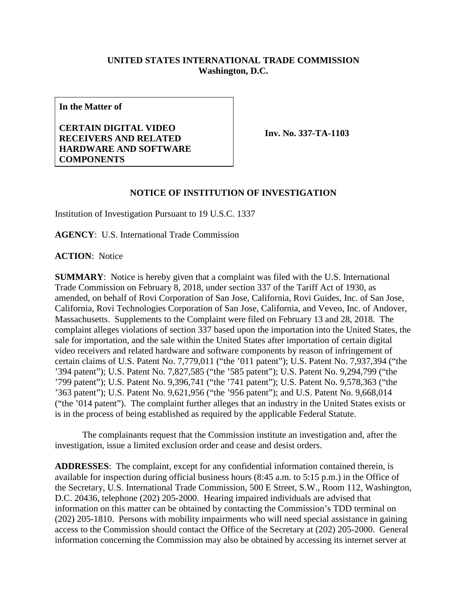## **UNITED STATES INTERNATIONAL TRADE COMMISSION Washington, D.C.**

**In the Matter of**

**CERTAIN DIGITAL VIDEO RECEIVERS AND RELATED HARDWARE AND SOFTWARE COMPONENTS**

**Inv. No. 337-TA-1103**

## **NOTICE OF INSTITUTION OF INVESTIGATION**

Institution of Investigation Pursuant to 19 U.S.C. 1337

**AGENCY**: U.S. International Trade Commission

**ACTION**: Notice

**SUMMARY**: Notice is hereby given that a complaint was filed with the U.S. International Trade Commission on February 8, 2018, under section 337 of the Tariff Act of 1930, as amended, on behalf of Rovi Corporation of San Jose, California, Rovi Guides, Inc. of San Jose, California, Rovi Technologies Corporation of San Jose, California, and Veveo, Inc. of Andover, Massachusetts. Supplements to the Complaint were filed on February 13 and 28, 2018. The complaint alleges violations of section 337 based upon the importation into the United States, the sale for importation, and the sale within the United States after importation of certain digital video receivers and related hardware and software components by reason of infringement of certain claims of U.S. Patent No. 7,779,011 ("the '011 patent"); U.S. Patent No. 7,937,394 ("the '394 patent"); U.S. Patent No. 7,827,585 ("the '585 patent"); U.S. Patent No. 9,294,799 ("the '799 patent"); U.S. Patent No. 9,396,741 ("the '741 patent"); U.S. Patent No. 9,578,363 ("the '363 patent"); U.S. Patent No. 9,621,956 ("the '956 patent"); and U.S. Patent No. 9,668,014 ("the '014 patent"). The complaint further alleges that an industry in the United States exists or is in the process of being established as required by the applicable Federal Statute.

The complainants request that the Commission institute an investigation and, after the investigation, issue a limited exclusion order and cease and desist orders.

**ADDRESSES**: The complaint, except for any confidential information contained therein, is available for inspection during official business hours (8:45 a.m. to 5:15 p.m.) in the Office of the Secretary, U.S. International Trade Commission, 500 E Street, S.W., Room 112, Washington, D.C. 20436, telephone (202) 205-2000. Hearing impaired individuals are advised that information on this matter can be obtained by contacting the Commission's TDD terminal on (202) 205-1810. Persons with mobility impairments who will need special assistance in gaining access to the Commission should contact the Office of the Secretary at (202) 205-2000. General information concerning the Commission may also be obtained by accessing its internet server at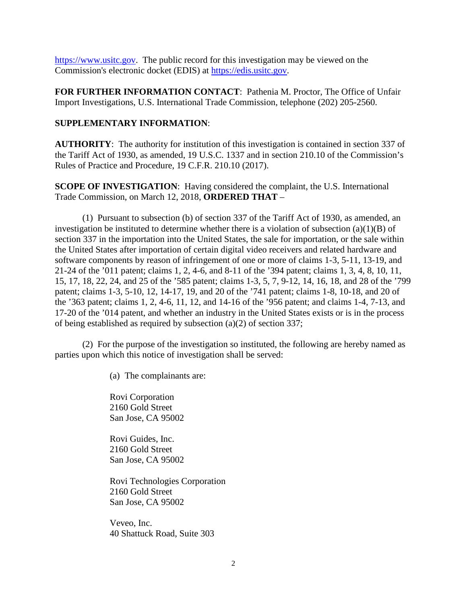[https://www.usitc.gov.](https://www.usitc.gov/) The public record for this investigation may be viewed on the Commission's electronic docket (EDIS) at [https://edis.usitc.gov.](https://edis.usitc.gov/)

**FOR FURTHER INFORMATION CONTACT**: Pathenia M. Proctor, The Office of Unfair Import Investigations, U.S. International Trade Commission, telephone (202) 205-2560.

## **SUPPLEMENTARY INFORMATION**:

**AUTHORITY**: The authority for institution of this investigation is contained in section 337 of the Tariff Act of 1930, as amended, 19 U.S.C. 1337 and in section 210.10 of the Commission's Rules of Practice and Procedure, 19 C.F.R. 210.10 (2017).

**SCOPE OF INVESTIGATION**: Having considered the complaint, the U.S. International Trade Commission, on March 12, 2018, **ORDERED THAT** –

(1) Pursuant to subsection (b) of section 337 of the Tariff Act of 1930, as amended, an investigation be instituted to determine whether there is a violation of subsection (a)(1)(B) of section 337 in the importation into the United States, the sale for importation, or the sale within the United States after importation of certain digital video receivers and related hardware and software components by reason of infringement of one or more of claims 1-3, 5-11, 13-19, and 21-24 of the '011 patent; claims 1, 2, 4-6, and 8-11 of the '394 patent; claims 1, 3, 4, 8, 10, 11, 15, 17, 18, 22, 24, and 25 of the '585 patent; claims 1-3, 5, 7, 9-12, 14, 16, 18, and 28 of the '799 patent; claims 1-3, 5-10, 12, 14-17, 19, and 20 of the '741 patent; claims 1-8, 10-18, and 20 of the '363 patent; claims 1, 2, 4-6, 11, 12, and 14-16 of the '956 patent; and claims 1-4, 7-13, and 17-20 of the '014 patent, and whether an industry in the United States exists or is in the process of being established as required by subsection (a)(2) of section 337;

(2) For the purpose of the investigation so instituted, the following are hereby named as parties upon which this notice of investigation shall be served:

(a) The complainants are:

Rovi Corporation 2160 Gold Street San Jose, CA 95002

Rovi Guides, Inc. 2160 Gold Street San Jose, CA 95002

Rovi Technologies Corporation 2160 Gold Street San Jose, CA 95002

Veveo, Inc. 40 Shattuck Road, Suite 303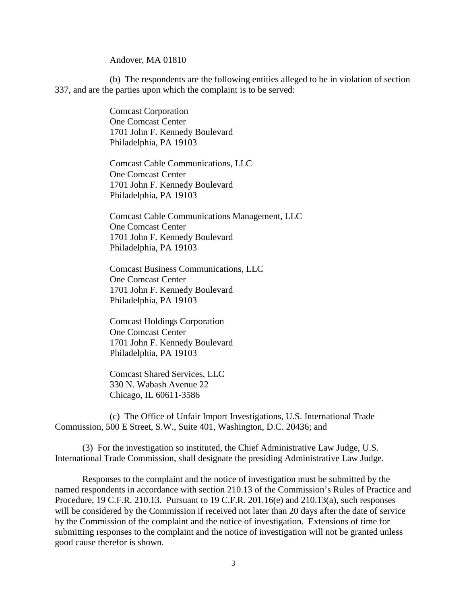Andover, MA 01810

(b) The respondents are the following entities alleged to be in violation of section 337, and are the parties upon which the complaint is to be served:

> Comcast Corporation One Comcast Center 1701 John F. Kennedy Boulevard Philadelphia, PA 19103

Comcast Cable Communications, LLC One Comcast Center 1701 John F. Kennedy Boulevard Philadelphia, PA 19103

Comcast Cable Communications Management, LLC One Comcast Center 1701 John F. Kennedy Boulevard Philadelphia, PA 19103

Comcast Business Communications, LLC One Comcast Center 1701 John F. Kennedy Boulevard Philadelphia, PA 19103

Comcast Holdings Corporation One Comcast Center 1701 John F. Kennedy Boulevard Philadelphia, PA 19103

Comcast Shared Services, LLC 330 N. Wabash Avenue 22 Chicago, IL 60611-3586

(c) The Office of Unfair Import Investigations, U.S. International Trade Commission, 500 E Street, S.W., Suite 401, Washington, D.C. 20436; and

(3) For the investigation so instituted, the Chief Administrative Law Judge, U.S. International Trade Commission, shall designate the presiding Administrative Law Judge.

Responses to the complaint and the notice of investigation must be submitted by the named respondents in accordance with section 210.13 of the Commission's Rules of Practice and Procedure, 19 C.F.R. 210.13. Pursuant to 19 C.F.R. 201.16(e) and 210.13(a), such responses will be considered by the Commission if received not later than 20 days after the date of service by the Commission of the complaint and the notice of investigation. Extensions of time for submitting responses to the complaint and the notice of investigation will not be granted unless good cause therefor is shown.